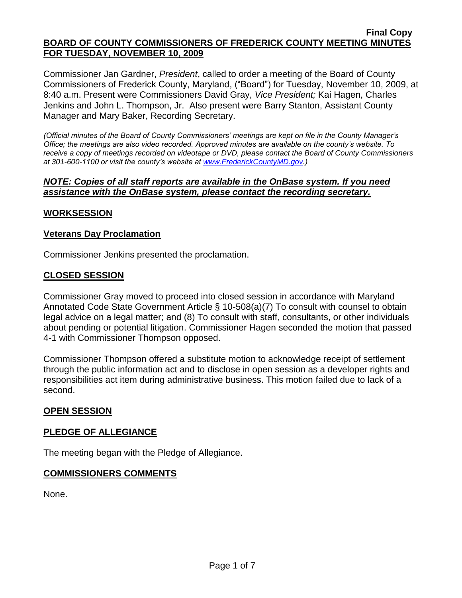Commissioner Jan Gardner, *President*, called to order a meeting of the Board of County Commissioners of Frederick County, Maryland, ("Board") for Tuesday, November 10, 2009, at 8:40 a.m. Present were Commissioners David Gray, *Vice President;* Kai Hagen, Charles Jenkins and John L. Thompson, Jr. Also present were Barry Stanton, Assistant County Manager and Mary Baker, Recording Secretary.

*(Official minutes of the Board of County Commissioners' meetings are kept on file in the County Manager's Office; the meetings are also video recorded. Approved minutes are available on the county's website. To receive a copy of meetings recorded on videotape or DVD, please contact the Board of County Commissioners at 301-600-1100 or visit the county's website at [www.FrederickCountyMD.gov.](http://www.frederickcountymd.gov/))*

## *NOTE: Copies of all staff reports are available in the OnBase system. If you need assistance with the OnBase system, please contact the recording secretary.*

# **WORKSESSION**

# **Veterans Day Proclamation**

Commissioner Jenkins presented the proclamation.

## **CLOSED SESSION**

Commissioner Gray moved to proceed into closed session in accordance with Maryland Annotated Code State Government Article § 10-508(a)(7) To consult with counsel to obtain legal advice on a legal matter; and (8) To consult with staff, consultants, or other individuals about pending or potential litigation. Commissioner Hagen seconded the motion that passed 4-1 with Commissioner Thompson opposed.

Commissioner Thompson offered a substitute motion to acknowledge receipt of settlement through the public information act and to disclose in open session as a developer rights and responsibilities act item during administrative business. This motion failed due to lack of a second.

## **OPEN SESSION**

# **PLEDGE OF ALLEGIANCE**

The meeting began with the Pledge of Allegiance.

## **COMMISSIONERS COMMENTS**

None.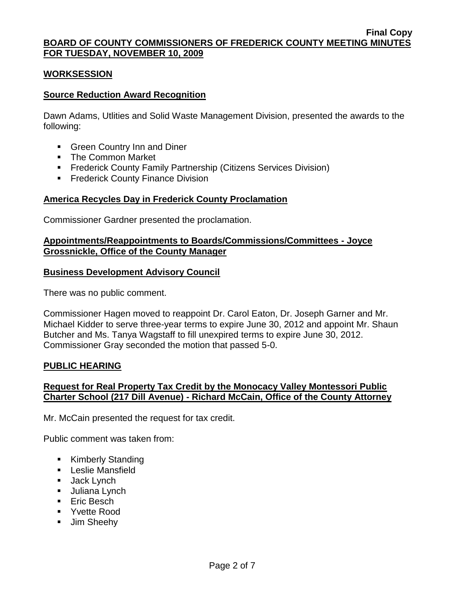### **WORKSESSION**

### **Source Reduction Award Recognition**

Dawn Adams, Utlities and Solid Waste Management Division, presented the awards to the following:

- **Green Country Inn and Diner**
- **The Common Market**
- **Frederick County Family Partnership (Citizens Services Division)**
- **Frederick County Finance Division**

## **America Recycles Day in Frederick County Proclamation**

Commissioner Gardner presented the proclamation.

### **Appointments/Reappointments to Boards/Commissions/Committees - Joyce Grossnickle, Office of the County Manager**

### **Business Development Advisory Council**

There was no public comment.

Commissioner Hagen moved to reappoint Dr. Carol Eaton, Dr. Joseph Garner and Mr. Michael Kidder to serve three-year terms to expire June 30, 2012 and appoint Mr. Shaun Butcher and Ms. Tanya Wagstaff to fill unexpired terms to expire June 30, 2012. Commissioner Gray seconded the motion that passed 5-0.

#### **PUBLIC HEARING**

## **Request for Real Property Tax Credit by the Monocacy Valley Montessori Public Charter School (217 Dill Avenue) - Richard McCain, Office of the County Attorney**

Mr. McCain presented the request for tax credit.

Public comment was taken from:

- **Kimberly Standing**
- **Leslie Mansfield**
- **Jack Lynch**
- **Juliana Lynch**
- **Eric Besch**
- **•** Yvette Rood
- **Jim Sheehy**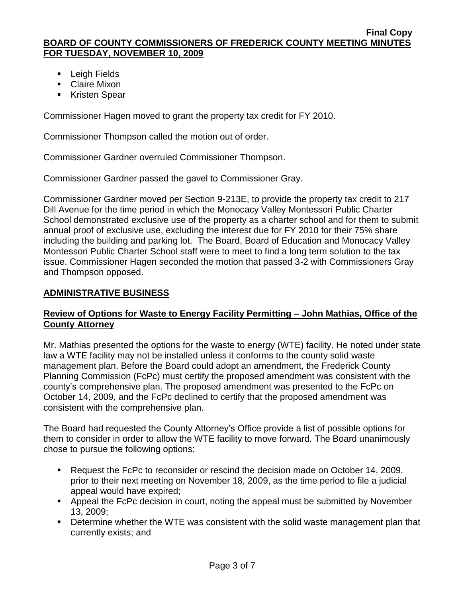- **Leigh Fields**
- **Claire Mixon**
- **EXPLACED Kristen Spear**

Commissioner Hagen moved to grant the property tax credit for FY 2010.

Commissioner Thompson called the motion out of order.

Commissioner Gardner overruled Commissioner Thompson.

Commissioner Gardner passed the gavel to Commissioner Gray.

Commissioner Gardner moved per Section 9-213E, to provide the property tax credit to 217 Dill Avenue for the time period in which the Monocacy Valley Montessori Public Charter School demonstrated exclusive use of the property as a charter school and for them to submit annual proof of exclusive use, excluding the interest due for FY 2010 for their 75% share including the building and parking lot. The Board, Board of Education and Monocacy Valley Montessori Public Charter School staff were to meet to find a long term solution to the tax issue. Commissioner Hagen seconded the motion that passed 3-2 with Commissioners Gray and Thompson opposed.

# **ADMINISTRATIVE BUSINESS**

# **Review of Options for Waste to Energy Facility Permitting – John Mathias, Office of the County Attorney**

Mr. Mathias presented the options for the waste to energy (WTE) facility. He noted under state law a WTE facility may not be installed unless it conforms to the county solid waste management plan. Before the Board could adopt an amendment, the Frederick County Planning Commission (FcPc) must certify the proposed amendment was consistent with the county's comprehensive plan. The proposed amendment was presented to the FcPc on October 14, 2009, and the FcPc declined to certify that the proposed amendment was consistent with the comprehensive plan.

The Board had requested the County Attorney's Office provide a list of possible options for them to consider in order to allow the WTE facility to move forward. The Board unanimously chose to pursue the following options:

- Request the FcPc to reconsider or rescind the decision made on October 14, 2009, prior to their next meeting on November 18, 2009, as the time period to file a judicial appeal would have expired;
- **Appeal the FcPc decision in court, noting the appeal must be submitted by November** 13, 2009;
- **Determine whether the WTE was consistent with the solid waste management plan that** currently exists; and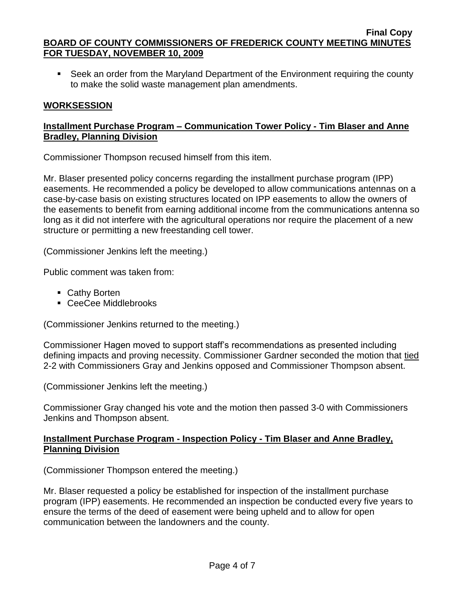• Seek an order from the Maryland Department of the Environment requiring the county to make the solid waste management plan amendments.

# **WORKSESSION**

# **Installment Purchase Program – Communication Tower Policy - Tim Blaser and Anne Bradley, Planning Division**

Commissioner Thompson recused himself from this item.

Mr. Blaser presented policy concerns regarding the installment purchase program (IPP) easements. He recommended a policy be developed to allow communications antennas on a case-by-case basis on existing structures located on IPP easements to allow the owners of the easements to benefit from earning additional income from the communications antenna so long as it did not interfere with the agricultural operations nor require the placement of a new structure or permitting a new freestanding cell tower.

(Commissioner Jenkins left the meeting.)

Public comment was taken from:

- Cathy Borten
- CeeCee Middlebrooks

(Commissioner Jenkins returned to the meeting.)

Commissioner Hagen moved to support staff's recommendations as presented including defining impacts and proving necessity. Commissioner Gardner seconded the motion that tied 2-2 with Commissioners Gray and Jenkins opposed and Commissioner Thompson absent.

(Commissioner Jenkins left the meeting.)

Commissioner Gray changed his vote and the motion then passed 3-0 with Commissioners Jenkins and Thompson absent.

## **Installment Purchase Program - Inspection Policy - Tim Blaser and Anne Bradley, Planning Division**

(Commissioner Thompson entered the meeting.)

Mr. Blaser requested a policy be established for inspection of the installment purchase program (IPP) easements. He recommended an inspection be conducted every five years to ensure the terms of the deed of easement were being upheld and to allow for open communication between the landowners and the county.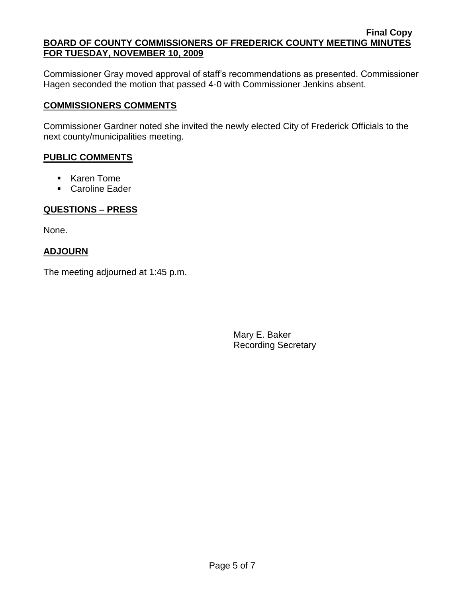Commissioner Gray moved approval of staff's recommendations as presented. Commissioner Hagen seconded the motion that passed 4-0 with Commissioner Jenkins absent.

# **COMMISSIONERS COMMENTS**

Commissioner Gardner noted she invited the newly elected City of Frederick Officials to the next county/municipalities meeting.

## **PUBLIC COMMENTS**

- Karen Tome
- Caroline Eader

# **QUESTIONS – PRESS**

None.

# **ADJOURN**

The meeting adjourned at 1:45 p.m.

Mary E. Baker Recording Secretary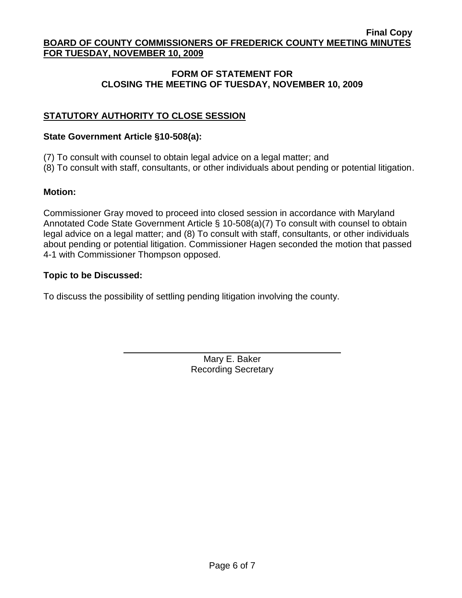# **FORM OF STATEMENT FOR CLOSING THE MEETING OF TUESDAY, NOVEMBER 10, 2009**

# **STATUTORY AUTHORITY TO CLOSE SESSION**

## **State Government Article §10-508(a):**

(7) To consult with counsel to obtain legal advice on a legal matter; and

(8) To consult with staff, consultants, or other individuals about pending or potential litigation.

# **Motion:**

Commissioner Gray moved to proceed into closed session in accordance with Maryland Annotated Code State Government Article § 10-508(a)(7) To consult with counsel to obtain legal advice on a legal matter; and (8) To consult with staff, consultants, or other individuals about pending or potential litigation. Commissioner Hagen seconded the motion that passed 4-1 with Commissioner Thompson opposed.

# **Topic to be Discussed:**

To discuss the possibility of settling pending litigation involving the county.

Mary E. Baker Recording Secretary